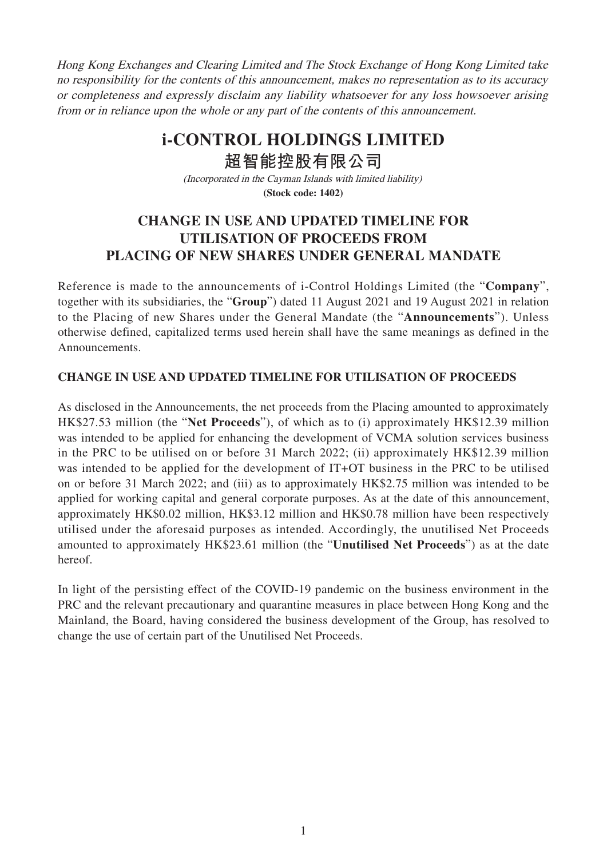Hong Kong Exchanges and Clearing Limited and The Stock Exchange of Hong Kong Limited take no responsibility for the contents of this announcement, makes no representation as to its accuracy or completeness and expressly disclaim any liability whatsoever for any loss howsoever arising from or in reliance upon the whole or any part of the contents of this announcement.

## **i-CONTROL HOLDINGS LIMITED**

**超智能控股有限公司**

(Incorporated in the Cayman Islands with limited liability) **(Stock code: 1402)**

## **CHANGE IN USE AND UPDATED TIMELINE FOR UTILISATION OF PROCEEDS FROM PLACING OF NEW SHARES UNDER GENERAL MANDATE**

Reference is made to the announcements of i-Control Holdings Limited (the "**Company**", together with its subsidiaries, the "**Group**") dated 11 August 2021 and 19 August 2021 in relation to the Placing of new Shares under the General Mandate (the "**Announcements**"). Unless otherwise defined, capitalized terms used herein shall have the same meanings as defined in the Announcements.

## **CHANGE IN USE AND UPDATED TIMELINE FOR UTILISATION OF PROCEEDS**

As disclosed in the Announcements, the net proceeds from the Placing amounted to approximately HK\$27.53 million (the "**Net Proceeds**"), of which as to (i) approximately HK\$12.39 million was intended to be applied for enhancing the development of VCMA solution services business in the PRC to be utilised on or before 31 March 2022; (ii) approximately HK\$12.39 million was intended to be applied for the development of IT+OT business in the PRC to be utilised on or before 31 March 2022; and (iii) as to approximately HK\$2.75 million was intended to be applied for working capital and general corporate purposes. As at the date of this announcement, approximately HK\$0.02 million, HK\$3.12 million and HK\$0.78 million have been respectively utilised under the aforesaid purposes as intended. Accordingly, the unutilised Net Proceeds amounted to approximately HK\$23.61 million (the "**Unutilised Net Proceeds**") as at the date hereof.

In light of the persisting effect of the COVID-19 pandemic on the business environment in the PRC and the relevant precautionary and quarantine measures in place between Hong Kong and the Mainland, the Board, having considered the business development of the Group, has resolved to change the use of certain part of the Unutilised Net Proceeds.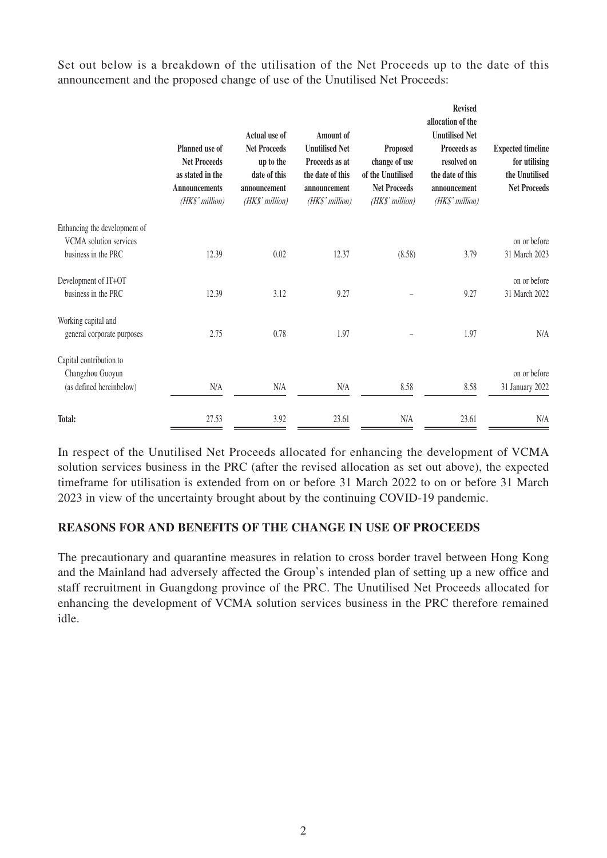Set out below is a breakdown of the utilisation of the Net Proceeds up to the date of this announcement and the proposed change of use of the Unutilised Net Proceeds:

|                                                               | Planned use of<br><b>Net Proceeds</b><br>as stated in the<br><b>Announcements</b><br>(HK\$' million) | Actual use of<br><b>Net Proceeds</b><br>up to the<br>date of this<br>announcement<br>(HK\$' million) | <b>Amount of</b><br><b>Unutilised Net</b><br>Proceeds as at<br>the date of this<br>announcement<br>(HK\$' million) | Proposed<br>change of use<br>of the Unutilised<br><b>Net Proceeds</b><br>(HK\$' million) | <b>Revised</b><br>allocation of the<br><b>Unutilised Net</b><br>Proceeds as<br>resolved on<br>the date of this<br>announcement<br>(HK\$' million) | <b>Expected timeline</b><br>for utilising<br>the Unutilised<br><b>Net Proceeds</b> |
|---------------------------------------------------------------|------------------------------------------------------------------------------------------------------|------------------------------------------------------------------------------------------------------|--------------------------------------------------------------------------------------------------------------------|------------------------------------------------------------------------------------------|---------------------------------------------------------------------------------------------------------------------------------------------------|------------------------------------------------------------------------------------|
| Enhancing the development of<br><b>VCMA</b> solution services |                                                                                                      |                                                                                                      |                                                                                                                    |                                                                                          |                                                                                                                                                   | on or before                                                                       |
| business in the PRC                                           | 12.39                                                                                                | 0.02                                                                                                 | 12.37                                                                                                              | (8.58)                                                                                   | 3.79                                                                                                                                              | 31 March 2023                                                                      |
| Development of IT+OT                                          |                                                                                                      |                                                                                                      |                                                                                                                    |                                                                                          |                                                                                                                                                   | on or before                                                                       |
| business in the PRC                                           | 12.39                                                                                                | 3.12                                                                                                 | 9.27                                                                                                               |                                                                                          | 9.27                                                                                                                                              | 31 March 2022                                                                      |
| Working capital and<br>general corporate purposes             | 2.75                                                                                                 | 0.78                                                                                                 | 1.97                                                                                                               |                                                                                          | 1.97                                                                                                                                              | N/A                                                                                |
| Capital contribution to<br>Changzhou Guoyun                   |                                                                                                      |                                                                                                      |                                                                                                                    |                                                                                          |                                                                                                                                                   | on or before                                                                       |
| (as defined hereinbelow)                                      | N/A                                                                                                  | N/A                                                                                                  | N/A                                                                                                                | 8.58                                                                                     | 8.58                                                                                                                                              | 31 January 2022                                                                    |
| Total:                                                        | 27.53                                                                                                | 3.92                                                                                                 | 23.61                                                                                                              | N/A                                                                                      | 23.61                                                                                                                                             | N/A                                                                                |

In respect of the Unutilised Net Proceeds allocated for enhancing the development of VCMA solution services business in the PRC (after the revised allocation as set out above), the expected timeframe for utilisation is extended from on or before 31 March 2022 to on or before 31 March 2023 in view of the uncertainty brought about by the continuing COVID-19 pandemic.

## **REASONS FOR AND BENEFITS OF THE CHANGE IN USE OF PROCEEDS**

The precautionary and quarantine measures in relation to cross border travel between Hong Kong and the Mainland had adversely affected the Group's intended plan of setting up a new office and staff recruitment in Guangdong province of the PRC. The Unutilised Net Proceeds allocated for enhancing the development of VCMA solution services business in the PRC therefore remained idle.